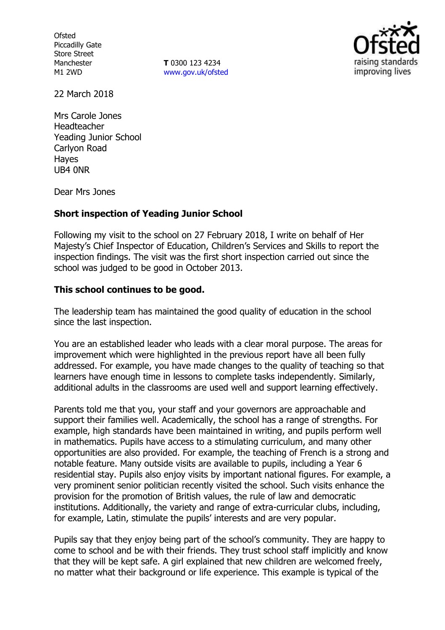**Ofsted** Piccadilly Gate Store Street Manchester M1 2WD

**T** 0300 123 4234 www.gov.uk/ofsted



22 March 2018

Mrs Carole Jones Headteacher Yeading Junior School Carlyon Road Hayes UB4 0NR

Dear Mrs Jones

### **Short inspection of Yeading Junior School**

Following my visit to the school on 27 February 2018, I write on behalf of Her Majesty's Chief Inspector of Education, Children's Services and Skills to report the inspection findings. The visit was the first short inspection carried out since the school was judged to be good in October 2013.

### **This school continues to be good.**

The leadership team has maintained the good quality of education in the school since the last inspection.

You are an established leader who leads with a clear moral purpose. The areas for improvement which were highlighted in the previous report have all been fully addressed. For example, you have made changes to the quality of teaching so that learners have enough time in lessons to complete tasks independently. Similarly, additional adults in the classrooms are used well and support learning effectively.

Parents told me that you, your staff and your governors are approachable and support their families well. Academically, the school has a range of strengths. For example, high standards have been maintained in writing, and pupils perform well in mathematics. Pupils have access to a stimulating curriculum, and many other opportunities are also provided. For example, the teaching of French is a strong and notable feature. Many outside visits are available to pupils, including a Year 6 residential stay. Pupils also enjoy visits by important national figures. For example, a very prominent senior politician recently visited the school. Such visits enhance the provision for the promotion of British values, the rule of law and democratic institutions. Additionally, the variety and range of extra-curricular clubs, including, for example, Latin, stimulate the pupils' interests and are very popular.

Pupils say that they enjoy being part of the school's community. They are happy to come to school and be with their friends. They trust school staff implicitly and know that they will be kept safe. A girl explained that new children are welcomed freely, no matter what their background or life experience. This example is typical of the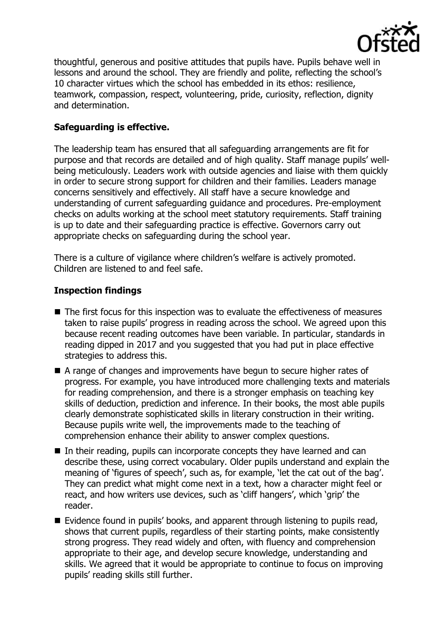

thoughtful, generous and positive attitudes that pupils have. Pupils behave well in lessons and around the school. They are friendly and polite, reflecting the school's 10 character virtues which the school has embedded in its ethos: resilience, teamwork, compassion, respect, volunteering, pride, curiosity, reflection, dignity and determination.

## **Safeguarding is effective.**

The leadership team has ensured that all safeguarding arrangements are fit for purpose and that records are detailed and of high quality. Staff manage pupils' wellbeing meticulously. Leaders work with outside agencies and liaise with them quickly in order to secure strong support for children and their families. Leaders manage concerns sensitively and effectively. All staff have a secure knowledge and understanding of current safeguarding guidance and procedures. Pre-employment checks on adults working at the school meet statutory requirements. Staff training is up to date and their safeguarding practice is effective. Governors carry out appropriate checks on safeguarding during the school year.

There is a culture of vigilance where children's welfare is actively promoted. Children are listened to and feel safe.

# **Inspection findings**

- The first focus for this inspection was to evaluate the effectiveness of measures taken to raise pupils' progress in reading across the school. We agreed upon this because recent reading outcomes have been variable. In particular, standards in reading dipped in 2017 and you suggested that you had put in place effective strategies to address this.
- A range of changes and improvements have begun to secure higher rates of progress. For example, you have introduced more challenging texts and materials for reading comprehension, and there is a stronger emphasis on teaching key skills of deduction, prediction and inference. In their books, the most able pupils clearly demonstrate sophisticated skills in literary construction in their writing. Because pupils write well, the improvements made to the teaching of comprehension enhance their ability to answer complex questions.
- In their reading, pupils can incorporate concepts they have learned and can describe these, using correct vocabulary. Older pupils understand and explain the meaning of 'figures of speech', such as, for example, 'let the cat out of the bag'. They can predict what might come next in a text, how a character might feel or react, and how writers use devices, such as 'cliff hangers', which 'grip' the reader.
- Evidence found in pupils' books, and apparent through listening to pupils read, shows that current pupils, regardless of their starting points, make consistently strong progress. They read widely and often, with fluency and comprehension appropriate to their age, and develop secure knowledge, understanding and skills. We agreed that it would be appropriate to continue to focus on improving pupils' reading skills still further.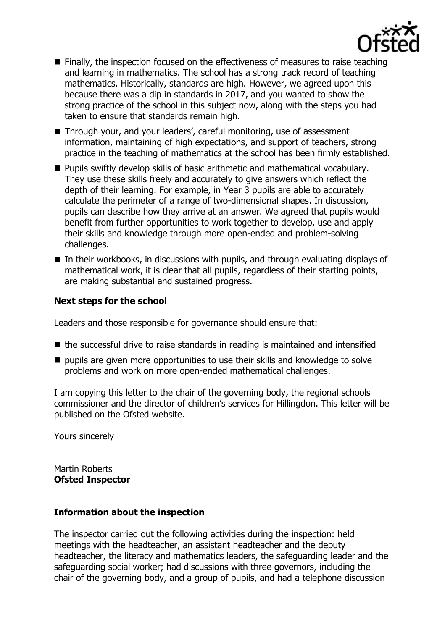

- Finally, the inspection focused on the effectiveness of measures to raise teaching and learning in mathematics. The school has a strong track record of teaching mathematics. Historically, standards are high. However, we agreed upon this because there was a dip in standards in 2017, and you wanted to show the strong practice of the school in this subject now, along with the steps you had taken to ensure that standards remain high.
- Through your, and your leaders', careful monitoring, use of assessment information, maintaining of high expectations, and support of teachers, strong practice in the teaching of mathematics at the school has been firmly established.
- **Pupils swiftly develop skills of basic arithmetic and mathematical vocabulary.** They use these skills freely and accurately to give answers which reflect the depth of their learning. For example, in Year 3 pupils are able to accurately calculate the perimeter of a range of two-dimensional shapes. In discussion, pupils can describe how they arrive at an answer. We agreed that pupils would benefit from further opportunities to work together to develop, use and apply their skills and knowledge through more open-ended and problem-solving challenges.
- $\blacksquare$  In their workbooks, in discussions with pupils, and through evaluating displays of mathematical work, it is clear that all pupils, regardless of their starting points, are making substantial and sustained progress.

### **Next steps for the school**

Leaders and those responsible for governance should ensure that:

- $\blacksquare$  the successful drive to raise standards in reading is maintained and intensified
- $\blacksquare$  pupils are given more opportunities to use their skills and knowledge to solve problems and work on more open-ended mathematical challenges.

I am copying this letter to the chair of the governing body, the regional schools commissioner and the director of children's services for Hillingdon. This letter will be published on the Ofsted website.

Yours sincerely

Martin Roberts **Ofsted Inspector**

### **Information about the inspection**

The inspector carried out the following activities during the inspection: held meetings with the headteacher, an assistant headteacher and the deputy headteacher, the literacy and mathematics leaders, the safeguarding leader and the safeguarding social worker; had discussions with three governors, including the chair of the governing body, and a group of pupils, and had a telephone discussion